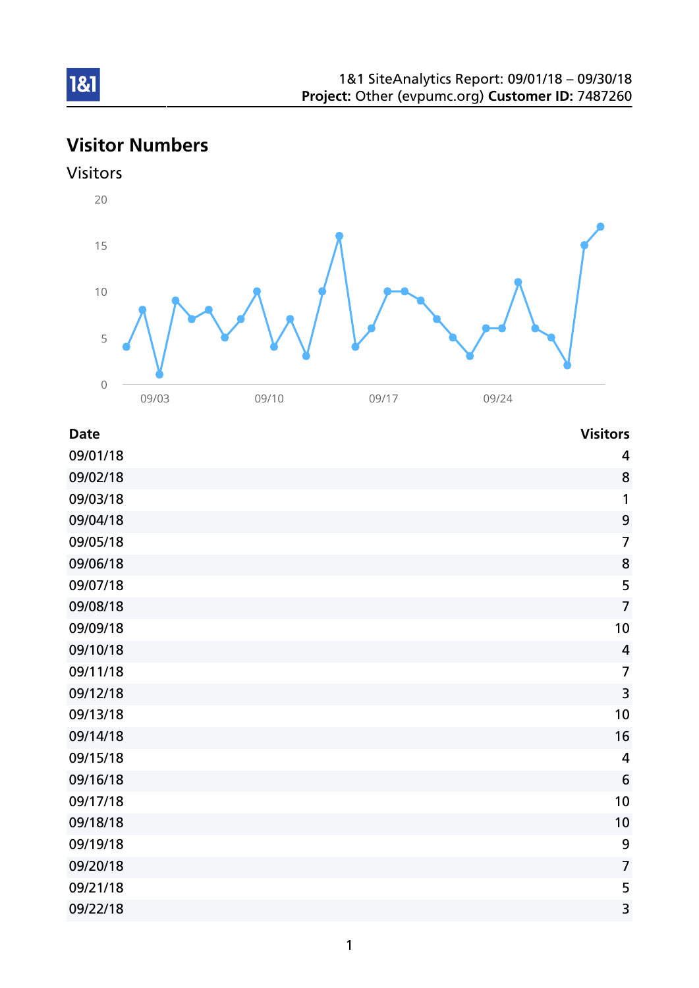# Visitor Numbers





| <b>Date</b> | <b>Visitors</b>  |
|-------------|------------------|
| 09/01/18    | $\overline{a}$   |
| 09/02/18    | 8                |
| 09/03/18    | 1                |
| 09/04/18    | $\mathbf{9}$     |
| 09/05/18    | $\overline{7}$   |
| 09/06/18    | 8                |
| 09/07/18    | 5                |
| 09/08/18    | $\overline{7}$   |
| 09/09/18    | 10               |
| 09/10/18    | $\overline{4}$   |
| 09/11/18    | $\overline{7}$   |
| 09/12/18    | 3                |
| 09/13/18    | 10               |
| 09/14/18    | 16               |
| 09/15/18    | $\overline{4}$   |
| 09/16/18    | 6                |
| 09/17/18    | 10               |
| 09/18/18    | 10               |
| 09/19/18    | $\boldsymbol{9}$ |
| 09/20/18    | $\overline{7}$   |
| 09/21/18    | 5                |
| 09/22/18    | 3                |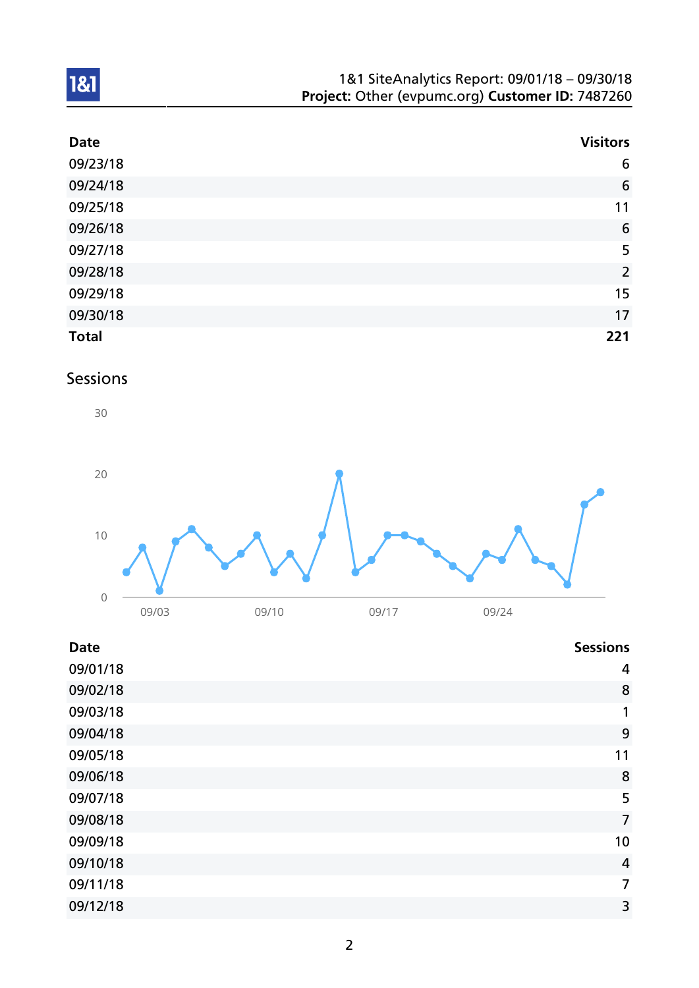| 1&1 SiteAnalytics Report: 09/01/18 - 09/30/18    |
|--------------------------------------------------|
| Project: Other (evpumc.org) Customer ID: 7487260 |

| <b>Date</b>  | <b>Visitors</b> |
|--------------|-----------------|
| 09/23/18     | 6               |
| 09/24/18     | $6\phantom{1}6$ |
| 09/25/18     | 11              |
| 09/26/18     | $6\phantom{1}6$ |
| 09/27/18     | 5               |
| 09/28/18     | $\overline{2}$  |
| 09/29/18     | 15              |
| 09/30/18     | 17              |
| <b>Total</b> | 221             |

## Sessions



| <b>Date</b> | <b>Sessions</b> |
|-------------|-----------------|
| 09/01/18    | 4               |
| 09/02/18    | 8               |
| 09/03/18    | 1               |
| 09/04/18    | 9               |
| 09/05/18    | 11              |
| 09/06/18    | 8               |
| 09/07/18    | 5               |
| 09/08/18    | $\overline{7}$  |
| 09/09/18    | 10              |
| 09/10/18    | $\overline{4}$  |
| 09/11/18    | 7               |
| 09/12/18    | 3               |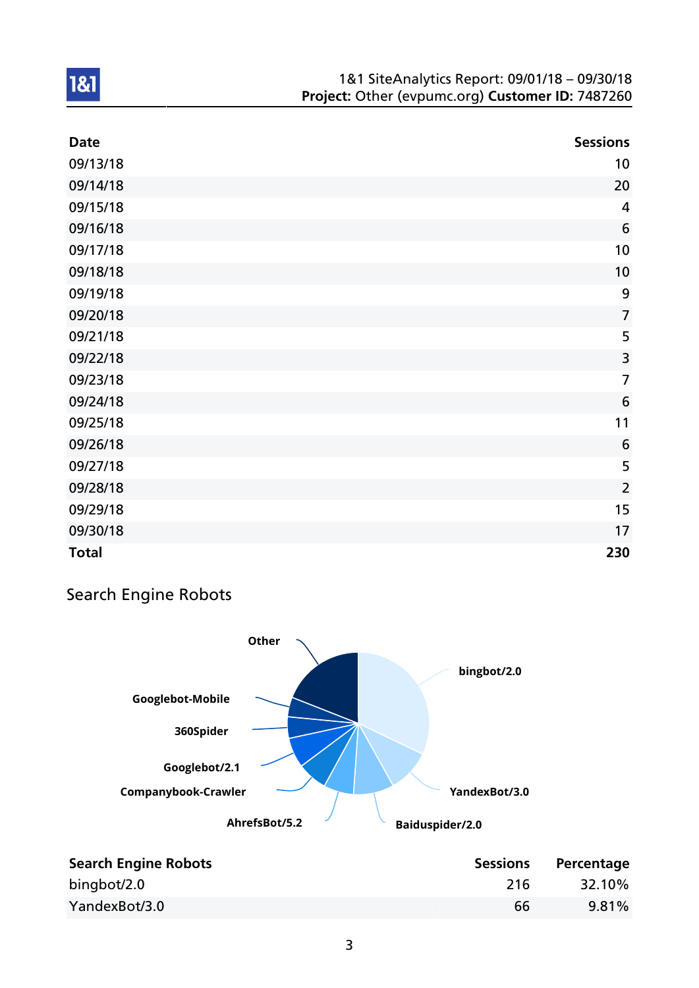#### 1&1 SiteAnalytics Report: 09/01/18 – 09/30/18 Project: Other (evpumc.org) Customer ID: 7487260

| <b>Date</b>  | <b>Sessions</b> |
|--------------|-----------------|
| 09/13/18     | 10              |
| 09/14/18     | 20              |
| 09/15/18     | 4               |
| 09/16/18     | $6\phantom{1}6$ |
| 09/17/18     | 10              |
| 09/18/18     | 10              |
| 09/19/18     | 9               |
| 09/20/18     | $\overline{7}$  |
| 09/21/18     | 5               |
| 09/22/18     | $\overline{3}$  |
| 09/23/18     | $\overline{7}$  |
| 09/24/18     | 6               |
| 09/25/18     | 11              |
| 09/26/18     | 6               |
| 09/27/18     | 5               |
| 09/28/18     | $\overline{2}$  |
| 09/29/18     | 15              |
| 09/30/18     | 17              |
| <b>Total</b> | 230             |

## Search Engine Robots



| <b>Search Engine Robots</b> | <b>Sessions</b> | Percentage |
|-----------------------------|-----------------|------------|
| bingbot/2.0                 | 216             | 32.10%     |
| YandexBot/3.0               | 66              | $9.81\%$   |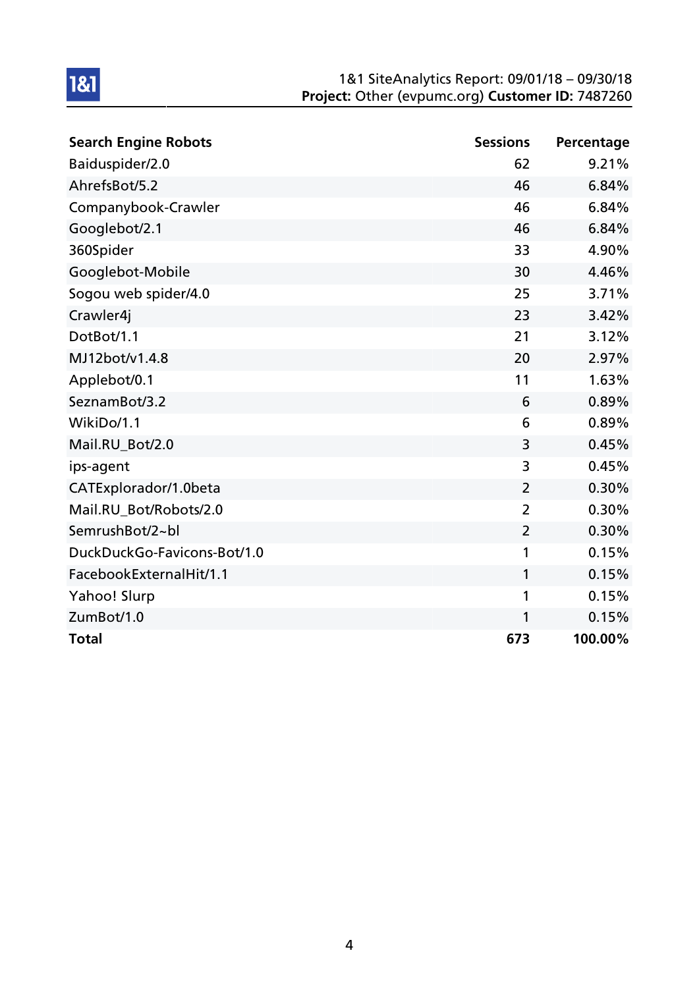#### 1&1 SiteAnalytics Report: 09/01/18 – 09/30/18 Project: Other (evpumc.org) Customer ID: 7487260

| <b>Search Engine Robots</b> | <b>Sessions</b> | Percentage |
|-----------------------------|-----------------|------------|
| Baiduspider/2.0             | 62              | 9.21%      |
| AhrefsBot/5.2               | 46              | 6.84%      |
| Companybook-Crawler         | 46              | 6.84%      |
| Googlebot/2.1               | 46              | 6.84%      |
| 360Spider                   | 33              | 4.90%      |
| Googlebot-Mobile            | 30              | 4.46%      |
| Sogou web spider/4.0        | 25              | 3.71%      |
| Crawler4j                   | 23              | 3.42%      |
| DotBot/1.1                  | 21              | 3.12%      |
| MJ12bot/v1.4.8              | 20              | 2.97%      |
| Applebot/0.1                | 11              | 1.63%      |
| SeznamBot/3.2               | 6               | 0.89%      |
| WikiDo/1.1                  | 6               | 0.89%      |
| Mail.RU_Bot/2.0             | 3               | 0.45%      |
| ips-agent                   | 3               | 0.45%      |
| CATExplorador/1.0beta       | $\overline{2}$  | 0.30%      |
| Mail.RU_Bot/Robots/2.0      | $\overline{2}$  | 0.30%      |
| SemrushBot/2~bl             | $\overline{2}$  | 0.30%      |
| DuckDuckGo-Favicons-Bot/1.0 | 1               | 0.15%      |
| FacebookExternalHit/1.1     | 1               | 0.15%      |
| Yahoo! Slurp                | 1               | 0.15%      |
| ZumBot/1.0                  | 1               | 0.15%      |
| <b>Total</b>                | 673             | 100.00%    |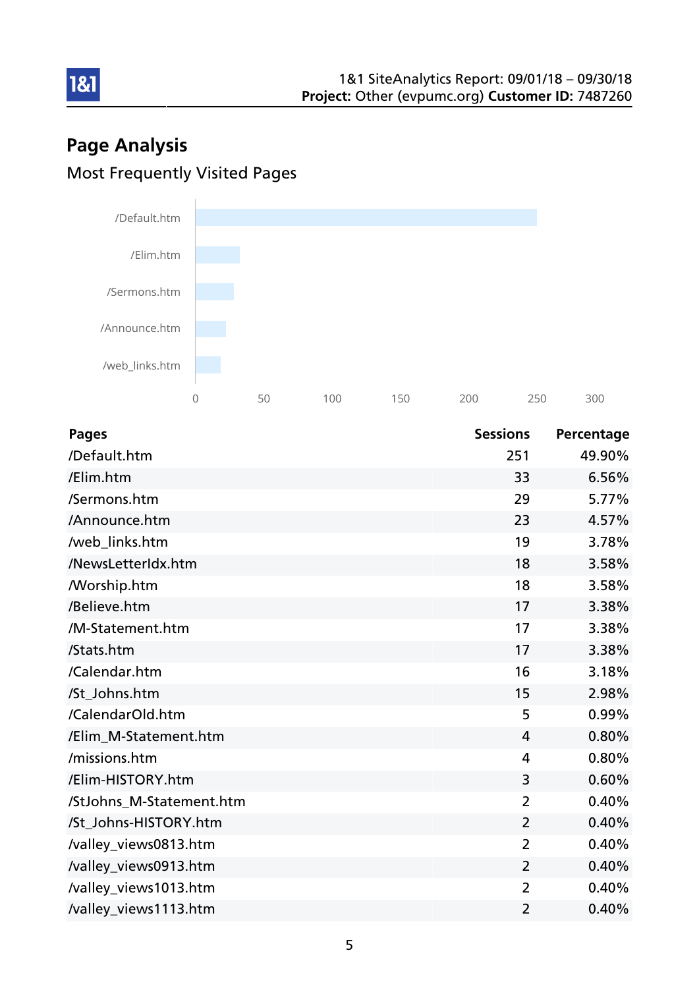# Page Analysis Most Frequently Visited Pages



| <b>Pages</b>             | <b>Sessions</b> | Percentage |
|--------------------------|-----------------|------------|
| /Default.htm             | 251             | 49.90%     |
| /Elim.htm                | 33              | 6.56%      |
| /Sermons.htm             | 29              | 5.77%      |
| /Announce.htm            | 23              | 4.57%      |
| /web_links.htm           | 19              | 3.78%      |
| /NewsLetterIdx.htm       | 18              | 3.58%      |
| <b>Morship.htm</b>       | 18              | 3.58%      |
| /Believe.htm             | 17              | 3.38%      |
| /M-Statement.htm         | 17              | 3.38%      |
| /Stats.htm               | 17              | 3.38%      |
| /Calendar.htm            | 16              | 3.18%      |
| /St_Johns.htm            | 15              | 2.98%      |
| /CalendarOld.htm         | 5               | 0.99%      |
| /Elim_M-Statement.htm    | $\overline{4}$  | 0.80%      |
| /missions.htm            | 4               | 0.80%      |
| /Elim-HISTORY.htm        | 3               | 0.60%      |
| /StJohns_M-Statement.htm | $\overline{2}$  | 0.40%      |
| /St_Johns-HISTORY.htm    | $\overline{2}$  | 0.40%      |
| /valley_views0813.htm    | $\overline{2}$  | 0.40%      |
| /valley_views0913.htm    | $\overline{2}$  | 0.40%      |
| /valley_views1013.htm    | $\overline{2}$  | 0.40%      |
| /valley_views1113.htm    | 2               | 0.40%      |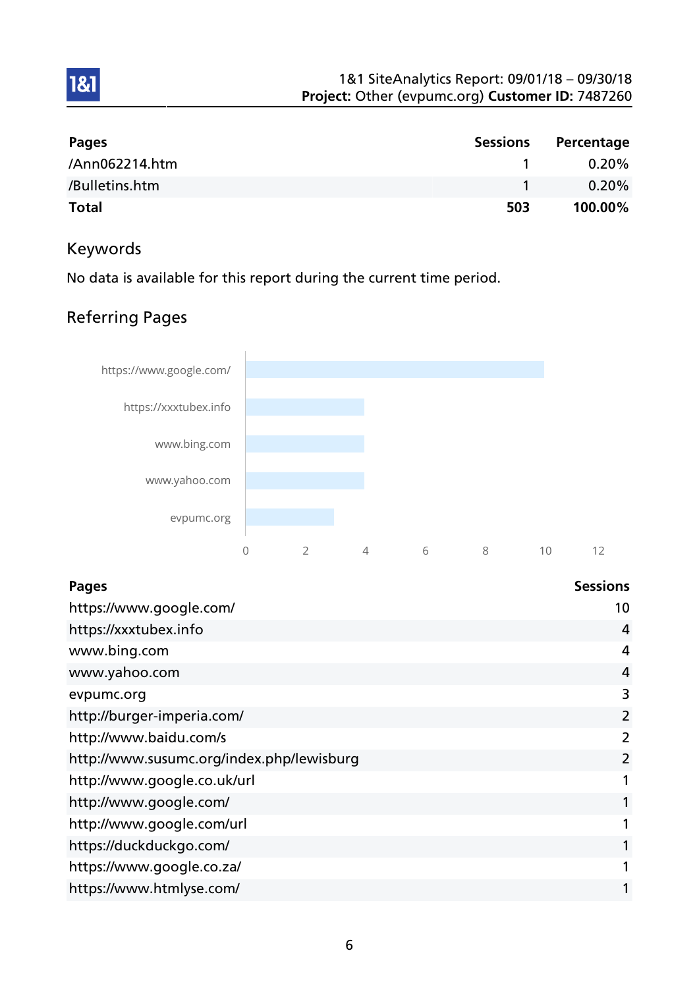| Pages          | <b>Sessions</b> | Percentage |
|----------------|-----------------|------------|
| /Ann062214.htm |                 | $0.20\%$   |
| /Bulletins.htm |                 | $0.20\%$   |
| <b>Total</b>   | 503             | 100.00%    |

## Keywords

1&1

No data is available for this report during the current time period.

## Referring Pages



| <b>Pages</b>                              | <b>Sessions</b> |
|-------------------------------------------|-----------------|
| https://www.google.com/                   | 10              |
| https://xxxtubex.info                     | 4               |
| www.bing.com                              | 4               |
| www.yahoo.com                             | 4               |
| evpumc.org                                | 3               |
| http://burger-imperia.com/                | 2               |
| http://www.baidu.com/s                    | 2               |
| http://www.susumc.org/index.php/lewisburg | $\overline{2}$  |
| http://www.google.co.uk/url               |                 |
| http://www.google.com/                    |                 |
| http://www.google.com/url                 |                 |
| https://duckduckgo.com/                   |                 |
| https://www.google.co.za/                 |                 |
| https://www.htmlyse.com/                  |                 |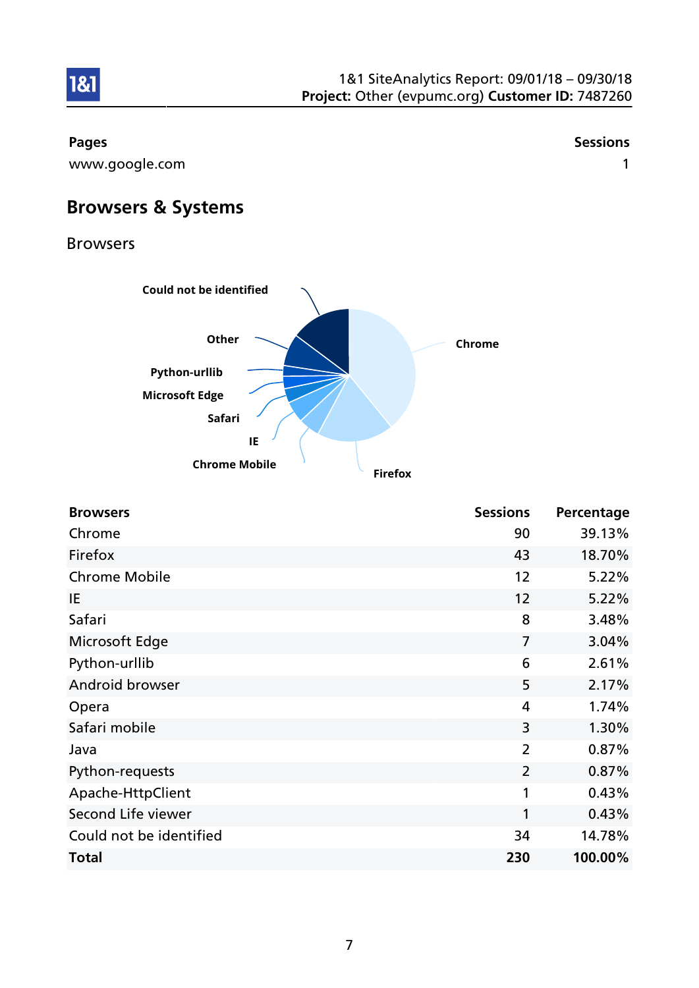

1&1

www.google.com and the state of the state of the state of the state of the state of the state of the state of the state of the state of the state of the state of the state of the state of the state of the state of the stat

Pages and the contract of the contract of the contract of the contract of the contract of the contract of the contract of the contract of the contract of the contract of the contract of the contract of the contract of the

Browsers & Systems

Browsers



| <b>Browsers</b>         | <b>Sessions</b> | Percentage |
|-------------------------|-----------------|------------|
| Chrome                  | 90              | 39.13%     |
| Firefox                 | 43              | 18.70%     |
| <b>Chrome Mobile</b>    | 12              | 5.22%      |
| IE                      | 12              | 5.22%      |
| Safari                  | 8               | 3.48%      |
| Microsoft Edge          | $\overline{7}$  | 3.04%      |
| Python-urllib           | 6               | 2.61%      |
| Android browser         | 5               | 2.17%      |
| Opera                   | 4               | 1.74%      |
| Safari mobile           | 3               | 1.30%      |
| Java                    | $\overline{2}$  | 0.87%      |
| Python-requests         | $\overline{2}$  | 0.87%      |
| Apache-HttpClient       | 1               | 0.43%      |
| Second Life viewer      | 1               | 0.43%      |
| Could not be identified | 34              | 14.78%     |
| <b>Total</b>            | 230             | 100.00%    |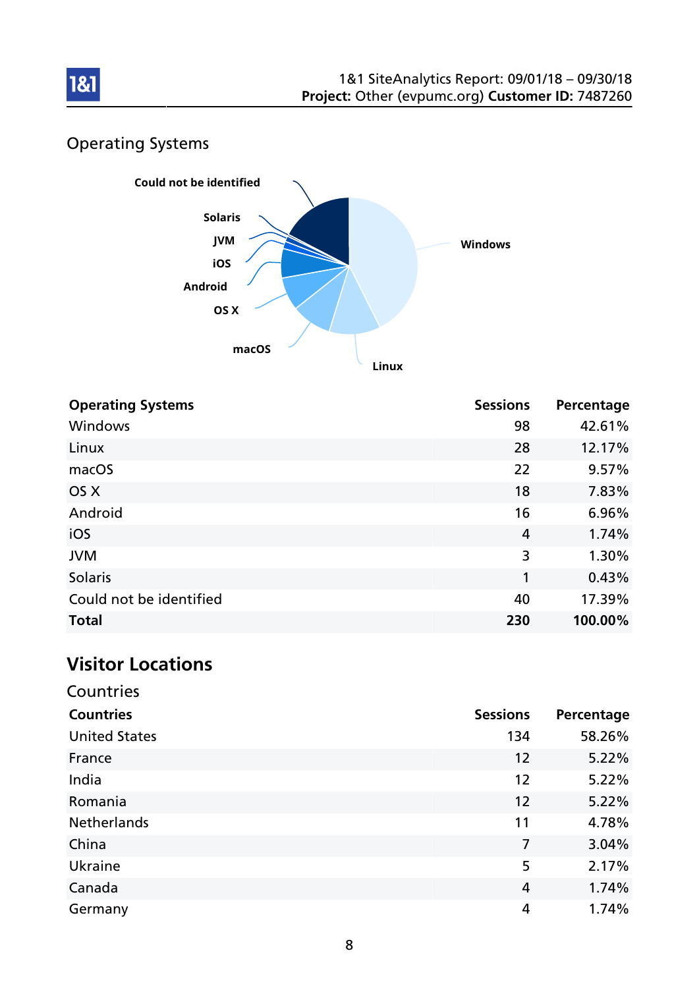

## Operating Systems



| <b>Operating Systems</b> | <b>Sessions</b> | Percentage |
|--------------------------|-----------------|------------|
| <b>Windows</b>           | 98              | 42.61%     |
| Linux                    | 28              | 12.17%     |
| macOS                    | 22              | 9.57%      |
| OS X                     | 18              | 7.83%      |
| Android                  | 16              | 6.96%      |
| iOS                      | 4               | 1.74%      |
| <b>JVM</b>               | 3               | 1.30%      |
| <b>Solaris</b>           | 1               | 0.43%      |
| Could not be identified  | 40              | 17.39%     |
| <b>Total</b>             | 230             | 100.00%    |

## Visitor Locations

| Countries            |                 |            |
|----------------------|-----------------|------------|
| <b>Countries</b>     | <b>Sessions</b> | Percentage |
| <b>United States</b> | 134             | 58.26%     |
| France               | 12              | 5.22%      |
| India                | 12              | 5.22%      |
| Romania              | 12              | 5.22%      |
| <b>Netherlands</b>   | 11              | 4.78%      |
| China                | 7               | 3.04%      |
| Ukraine              | 5               | 2.17%      |
| Canada               | 4               | 1.74%      |
| Germany              | 4               | 1.74%      |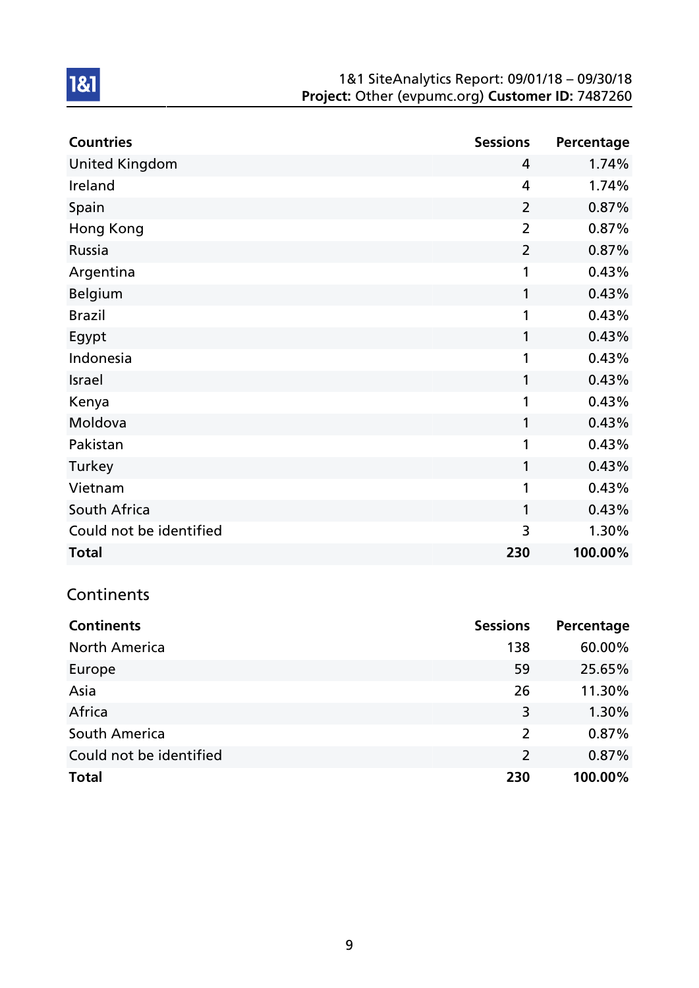#### 1&1 SiteAnalytics Report: 09/01/18 – 09/30/18 Project: Other (evpumc.org) Customer ID: 7487260

| <b>Countries</b>        | <b>Sessions</b> | Percentage |
|-------------------------|-----------------|------------|
| <b>United Kingdom</b>   | 4               | 1.74%      |
| Ireland                 | 4               | 1.74%      |
| Spain                   | $\overline{2}$  | 0.87%      |
| <b>Hong Kong</b>        | $\overline{2}$  | 0.87%      |
| Russia                  | $\overline{2}$  | 0.87%      |
| Argentina               | 1               | 0.43%      |
| Belgium                 | 1               | 0.43%      |
| <b>Brazil</b>           | 1               | 0.43%      |
| Egypt                   | 1               | 0.43%      |
| Indonesia               | 1               | 0.43%      |
| Israel                  | 1               | 0.43%      |
| Kenya                   | 1               | 0.43%      |
| Moldova                 | 1               | 0.43%      |
| Pakistan                | 1               | 0.43%      |
| Turkey                  | 1               | 0.43%      |
| Vietnam                 | 1               | 0.43%      |
| South Africa            | 1               | 0.43%      |
| Could not be identified | 3               | 1.30%      |
| <b>Total</b>            | 230             | 100.00%    |

## **Continents**

| <b>Continents</b>       | <b>Sessions</b> | Percentage |
|-------------------------|-----------------|------------|
| <b>North America</b>    | 138             | 60.00%     |
| Europe                  | 59              | 25.65%     |
| Asia                    | 26              | 11.30%     |
| Africa                  | 3               | 1.30%      |
| South America           | 2               | 0.87%      |
| Could not be identified | 2               | 0.87%      |
| <b>Total</b>            | 230             | 100.00%    |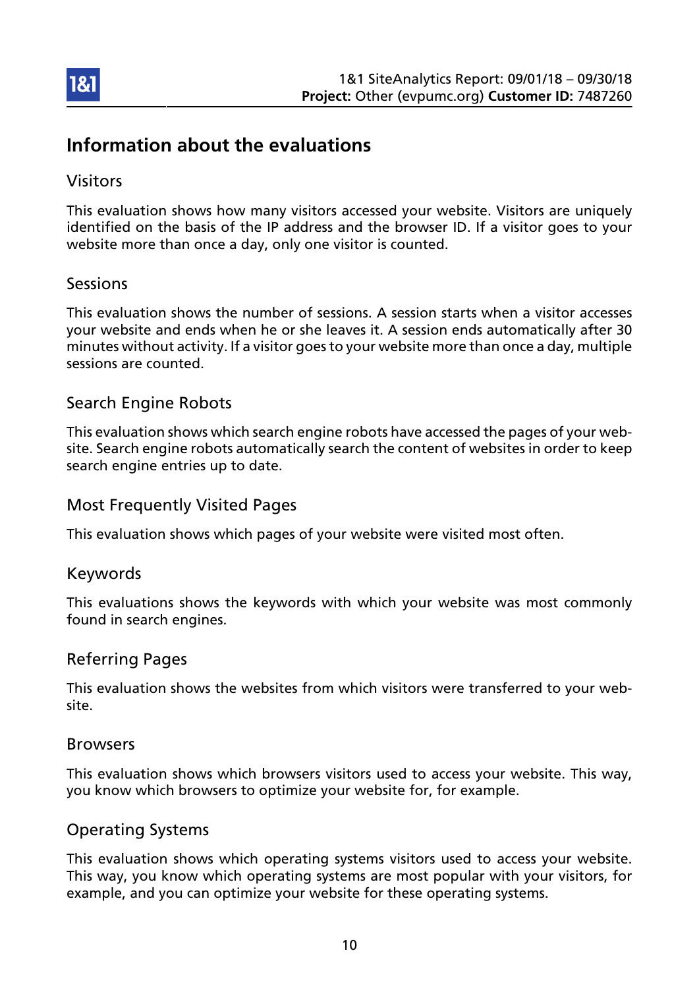

## Information about the evaluations

## Visitors

This evaluation shows how many visitors accessed your website. Visitors are uniquely identified on the basis of the IP address and the browser ID. If a visitor goes to your website more than once a day, only one visitor is counted.

## Sessions

This evaluation shows the number of sessions. A session starts when a visitor accesses your website and ends when he or she leaves it. A session ends automatically after 30 minutes without activity. If a visitor goes to your website more than once a day, multiple sessions are counted.

## Search Engine Robots

This evaluation shows which search engine robots have accessed the pages of your website. Search engine robots automatically search the content of websites in order to keep search engine entries up to date.

## Most Frequently Visited Pages

This evaluation shows which pages of your website were visited most often.

#### Keywords

This evaluations shows the keywords with which your website was most commonly found in search engines.

#### Referring Pages

This evaluation shows the websites from which visitors were transferred to your website.

#### Browsers

This evaluation shows which browsers visitors used to access your website. This way, you know which browsers to optimize your website for, for example.

## Operating Systems

This evaluation shows which operating systems visitors used to access your website. This way, you know which operating systems are most popular with your visitors, for example, and you can optimize your website for these operating systems.